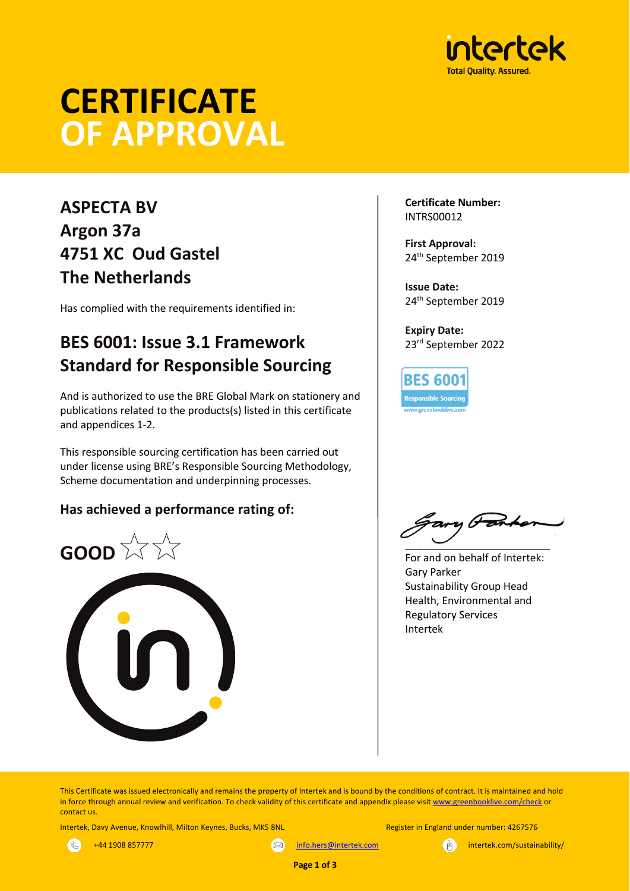

# **CERTIFICATE OF APPROVAL**

# **ASPECTA BV Argon 37a 4751 XC Oud Gastel The Netherlands**

Has complied with the requirements identified in:

# **BES 6001: Issue 3.1 Framework Standard for Responsible Sourcing**

And is authorized to use the BRE Global Mark on stationery and publications related to the products(s) listed in this certificate and appendices 1-2.

This responsible sourcing certification has been carried out under license using BRE's Responsible Sourcing Methodology, Scheme documentation and underpinning processes.

## **Has achieved a performance rating of:**



**Certificate Number:** INTRS00012

**First Approval:** 24th September 2019

**Issue Date:** 24th September 2019

**Expiry Date:** 23rd September 2022

**BES 6001 Responsible Sourcing** 

 $\overline{\phantom{a}}$   $\overline{\phantom{a}}$   $\overline{\phantom{a}}$   $\overline{\phantom{a}}$   $\overline{\phantom{a}}$   $\overline{\phantom{a}}$   $\overline{\phantom{a}}$   $\overline{\phantom{a}}$   $\overline{\phantom{a}}$   $\overline{\phantom{a}}$   $\overline{\phantom{a}}$   $\overline{\phantom{a}}$   $\overline{\phantom{a}}$   $\overline{\phantom{a}}$   $\overline{\phantom{a}}$   $\overline{\phantom{a}}$   $\overline{\phantom{a}}$   $\overline{\phantom{a}}$   $\overline{\$ 

For and on behalf of Intertek: Gary Parker Sustainability Group Head Health, Environmental and Regulatory Services Intertek

This Certificate was issued electronically and remains the property of Intertek and is bound by the conditions of contract. It is maintained and hold in force through annual review and verification. To check validity of this certificate and appendix please visit www.greenbooklive.com/check or contact us.

Intertek, Davy Avenue, Knowlhill, Milton Keynes, Bucks, MK5 8NL Register in England under number: 4267576



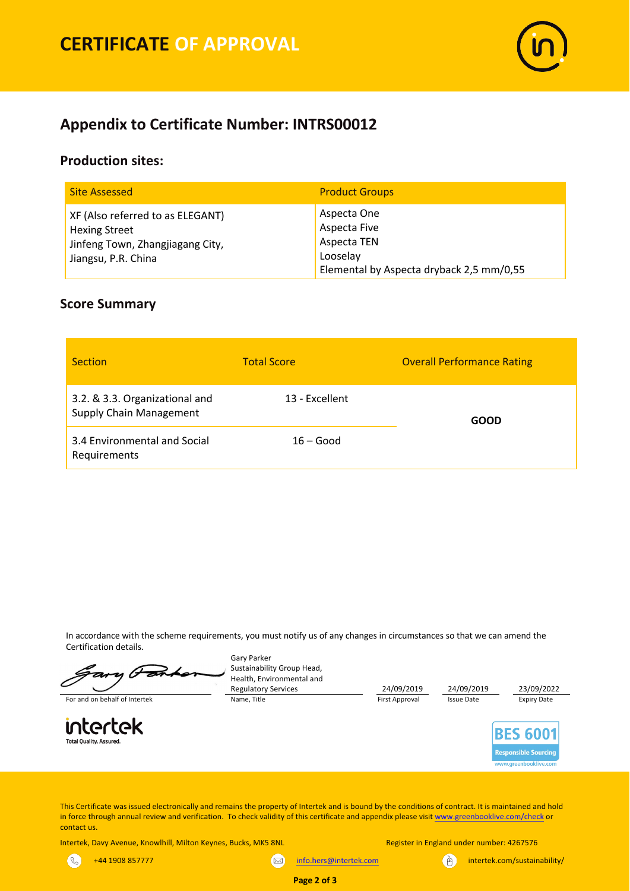

## **Appendix to Certificate Number: INTRS00012**

### **Production sites:**

| <b>Site Assessed</b>                                                                                                | <b>Product Groups</b>                                                                              |
|---------------------------------------------------------------------------------------------------------------------|----------------------------------------------------------------------------------------------------|
| XF (Also referred to as ELEGANT)<br><b>Hexing Street</b><br>Jinfeng Town, Zhangjiagang City,<br>Jiangsu, P.R. China | Aspecta One<br>Aspecta Five<br>Aspecta TEN<br>Looselay<br>Elemental by Aspecta dryback 2,5 mm/0,55 |

#### **Score Summary**

| <b>Section</b>                                                   | <b>Total Score</b> | <b>Overall Performance Rating</b> |  |  |  |
|------------------------------------------------------------------|--------------------|-----------------------------------|--|--|--|
| 3.2. & 3.3. Organizational and<br><b>Supply Chain Management</b> | 13 - Excellent     | <b>GOOD</b>                       |  |  |  |
| 3.4 Environmental and Social<br>Requirements                     | $16 - Good$        |                                   |  |  |  |

In accordance with the scheme requirements, you must notify us of any changes in circumstances so that we can amend the Certification details.

Gary Parker Sustainability Group Head, Health, Environmental and Regulatory Services 24/09/2019 24/09/2019 23/09/2022<br>
Name, Title **24/09/2019** 24/09/2019 24/09/2019 25sue Date 25 24/09/2019 For and on behalf of Intertek Name, Title Name, Title First Approval Issue Date Expiry Date intertek **BES 6001 Total Quality, Assured. Responsible Sourcing** www.areenbooklive.cor

This Certificate was issued electronically and remains the property of Intertek and is bound by the conditions of contract. It is maintained and hold in force through annual review and verification. To check validity of this certificate and appendix please visit www.greenbooklive.com/check or contact us.

**Page 2 of 3**

Intertek, Davy Avenue, Knowlhill, Milton Keynes, Bucks, MK5 8NL Register in England under number: 4267576

 $\mathcal{R}$